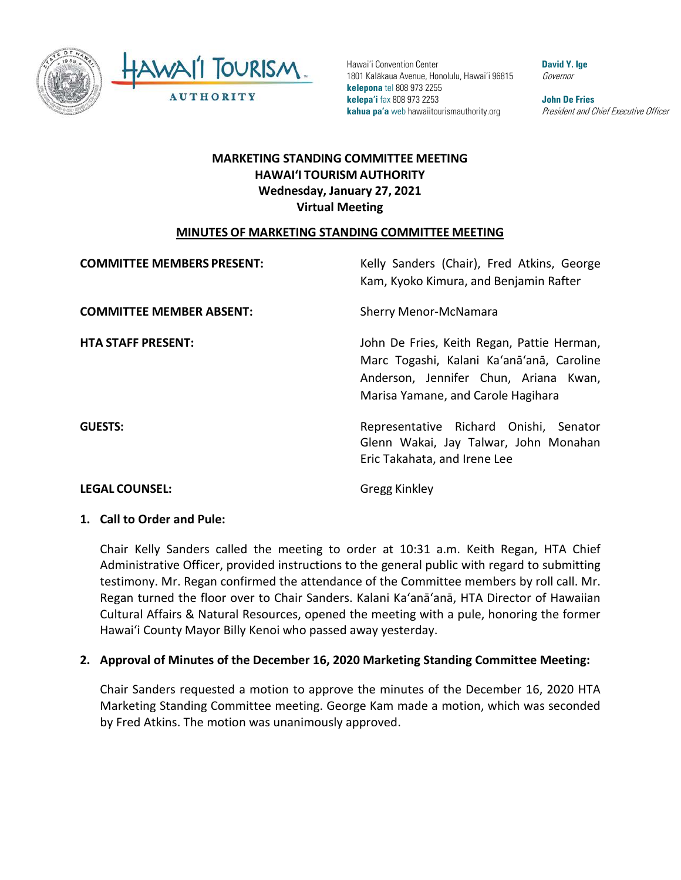



 **kelepona** tel 808 973 2255 **kelepa'i** fax 808 973 2253 **John De Fries**  Hawai'i Convention Center **David Y. Ige 1986** 1801 Kalākaua Avenue, Honolulu, Hawai'i 96815 Governor **kahua pa'a** web hawaiitourismauthority.org *President and Chief Executive Officer* 

# **HAWAI'I TOURISM AUTHORITY MARKETING STANDING COMMITTEE MEETING Wednesday, January 27, 2021 Virtual Meeting**

#### **MINUTES OF MARKETING STANDING COMMITTEE MEETING**

| <b>COMMITTEE MEMBERS PRESENT:</b> | Kelly Sanders (Chair), Fred Atkins, George<br>Kam, Kyoko Kimura, and Benjamin Rafter                                                                                   |
|-----------------------------------|------------------------------------------------------------------------------------------------------------------------------------------------------------------------|
| <b>COMMITTEE MEMBER ABSENT:</b>   | <b>Sherry Menor-McNamara</b>                                                                                                                                           |
| <b>HTA STAFF PRESENT:</b>         | John De Fries, Keith Regan, Pattie Herman,<br>Marc Togashi, Kalani Ka'anā'anā, Caroline<br>Anderson, Jennifer Chun, Ariana Kwan,<br>Marisa Yamane, and Carole Hagihara |
| <b>GUESTS:</b>                    | Representative Richard Onishi, Senator<br>Glenn Wakai, Jay Talwar, John Monahan<br>Eric Takahata, and Irene Lee                                                        |

# **LEGAL COUNSEL:** Gregg Kinkley

### **1. Call to Order and Pule:**

 Chair Kelly Sanders called the meeting to order at 10:31 a.m. Keith Regan, HTA Chief Administrative Officer, provided instructions to the general public with regard to submitting testimony. Mr. Regan confirmed the attendance of the Committee members by roll call. Mr. Regan turned the floor over to Chair Sanders. Kalani Ka'anā'anā, HTA Director of Hawaiian Cultural Affairs & Natural Resources, opened the meeting with a pule, honoring the former Hawai'i County Mayor Billy Kenoi who passed away yesterday.

#### **2. Approval of Minutes of the December 16, 2020 Marketing Standing Committee Meeting:**

Chair Sanders requested a motion to approve the minutes of the December 16, 2020 HTA Marketing Standing Committee meeting. George Kam made a motion, which was seconded by Fred Atkins. The motion was unanimously approved.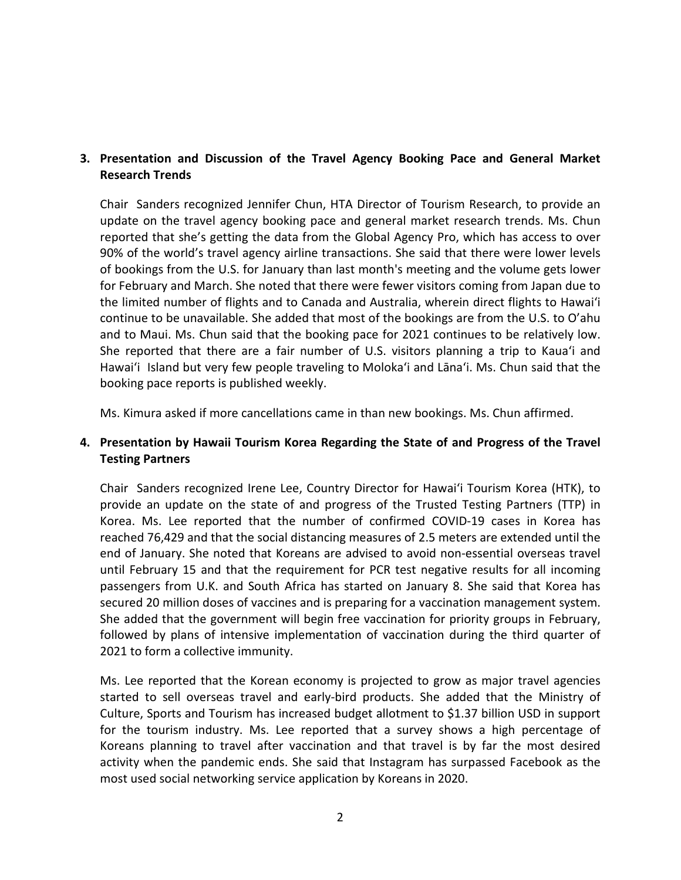## **3. Presentation and Discussion of the Travel Agency Booking Pace and General Market Research Trends**

 reported that she's getting the data from the Global Agency Pro, which has access to over 90% of the world's travel agency airline transactions. She said that there were lower levels for February and March. She noted that there were fewer visitors coming from Japan due to the limited number of flights and to Canada and Australia, wherein direct flights to Hawai'i Hawai'i Island but very few people traveling to Moloka'i and Lāna'i. Ms. Chun said that the booking pace reports is published weekly. Chair Sanders recognized Jennifer Chun, HTA Director of Tourism Research, to provide an update on the travel agency booking pace and general market research trends. Ms. Chun of bookings from the U.S. for January than last month's meeting and the volume gets lower continue to be unavailable. She added that most of the bookings are from the U.S. to O'ahu and to Maui. Ms. Chun said that the booking pace for 2021 continues to be relatively low. She reported that there are a fair number of U.S. visitors planning a trip to Kaua'i and

Ms. Kimura asked if more cancellations came in than new bookings. Ms. Chun affirmed.

#### **4. Presentation by Hawaii Tourism Korea Regarding the State of and Progress of the Travel Testing Partners**

 provide an update on the state of and progress of the Trusted Testing Partners (TTP) in reached 76,429 and that the social distancing measures of 2.5 meters are extended until the end of January. She noted that Koreans are advised to avoid non-essential overseas travel passengers from U.K. and South Africa has started on January 8. She said that Korea has secured 20 million doses of vaccines and is preparing for a vaccination management system. followed by plans of intensive implementation of vaccination during the third quarter of Chair Sanders recognized Irene Lee, Country Director for Hawai'i Tourism Korea (HTK), to Korea. Ms. Lee reported that the number of confirmed COVID-19 cases in Korea has until February 15 and that the requirement for PCR test negative results for all incoming She added that the government will begin free vaccination for priority groups in February, 2021 to form a collective immunity.

 Ms. Lee reported that the Korean economy is projected to grow as major travel agencies Culture, Sports and Tourism has increased budget allotment to \$1.37 billion USD in support Koreans planning to travel after vaccination and that travel is by far the most desired most used social networking service application by Koreans in 2020.<br>2 started to sell overseas travel and early-bird products. She added that the Ministry of for the tourism industry. Ms. Lee reported that a survey shows a high percentage of activity when the pandemic ends. She said that Instagram has surpassed Facebook as the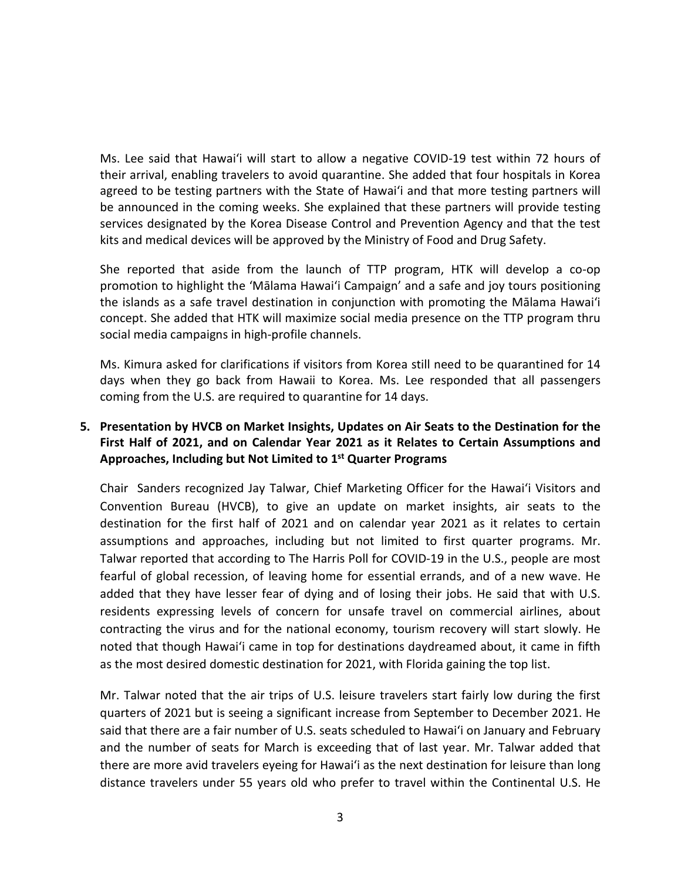kits and medical devices will be approved by the Ministry of Food and Drug Safety. Ms. Lee said that Hawai'i will start to allow a negative COVID-19 test within 72 hours of their arrival, enabling travelers to avoid quarantine. She added that four hospitals in Korea agreed to be testing partners with the State of Hawai'i and that more testing partners will be announced in the coming weeks. She explained that these partners will provide testing services designated by the Korea Disease Control and Prevention Agency and that the test

 promotion to highlight the 'Mālama Hawai'i Campaign' and a safe and joy tours positioning concept. She added that HTK will maximize social media presence on the TTP program thru social media campaigns in high-profile channels. She reported that aside from the launch of TTP program, HTK will develop a co-op the islands as a safe travel destination in conjunction with promoting the Mālama Hawai'i

social media campaigns in high-profile channels.<br>Ms. Kimura asked for clarifications if visitors from Korea still need to be quarantined for 14 days when they go back from Hawaii to Korea. Ms. Lee responded that all passengers coming from the U.S. are required to quarantine for 14 days.

## **First Half of 2021, and on Calendar Year 2021 as it Relates to Certain Assumptions and 5. Presentation by HVCB on Market Insights, Updates on Air Seats to the Destination for the Approaches, Including but Not Limited to 1st Quarter Programs**

 Chair Sanders recognized Jay Talwar, Chief Marketing Officer for the Hawai'i Visitors and destination for the first half of 2021 and on calendar year 2021 as it relates to certain assumptions and approaches, including but not limited to first quarter programs. Mr. fearful of global recession, of leaving home for essential errands, and of a new wave. He added that they have lesser fear of dying and of losing their jobs. He said that with U.S. noted that though Hawai'i came in top for destinations daydreamed about, it came in fifth as the most desired domestic destination for 2021, with Florida gaining the top list. Convention Bureau (HVCB), to give an update on market insights, air seats to the Talwar reported that according to The Harris Poll for COVID-19 in the U.S., people are most residents expressing levels of concern for unsafe travel on commercial airlines, about contracting the virus and for the national economy, tourism recovery will start slowly. He

 Mr. Talwar noted that the air trips of U.S. leisure travelers start fairly low during the first and the number of seats for March is exceeding that of last year. Mr. Talwar added that there are more avid travelers eyeing for Hawai'i as the next destination for leisure than long distance travelers under 55 years old who prefer to travel within the Continental U.S. He quarters of 2021 but is seeing a significant increase from September to December 2021. He said that there are a fair number of U.S. seats scheduled to Hawai'i on January and February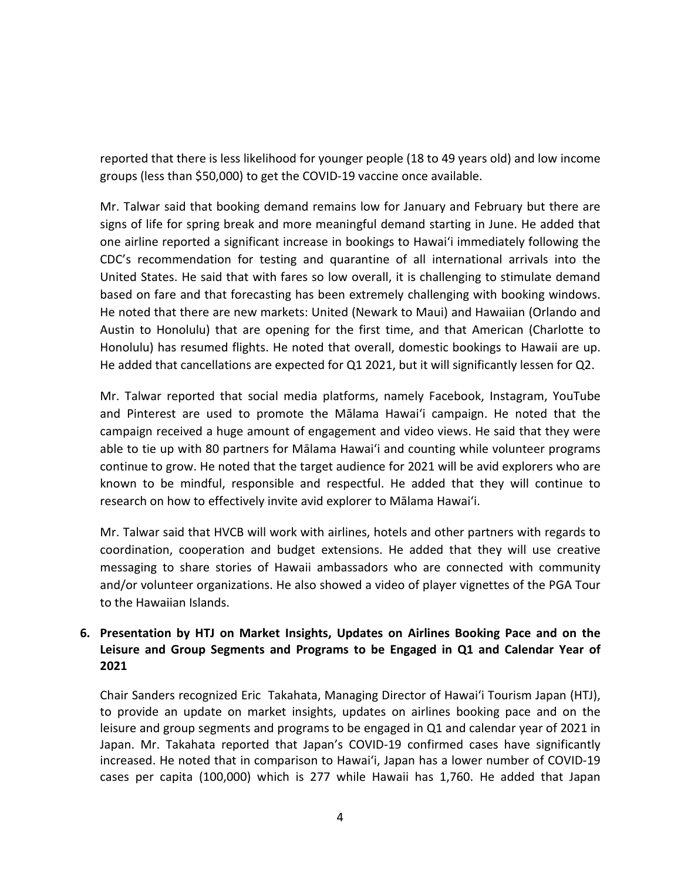reported that there is less likelihood for younger people (18 to 49 years old) and low income groups (less than \$50,000) to get the COVID-19 vaccine once available.

 signs of life for spring break and more meaningful demand starting in June. He added that CDC's recommendation for testing and quarantine of all international arrivals into the based on fare and that forecasting has been extremely challenging with booking windows. Honolulu) has resumed flights. He noted that overall, domestic bookings to Hawaii are up. He added that cancellations are expected for Q1 2021, but it will significantly lessen for Q2. Mr. Talwar said that booking demand remains low for January and February but there are one airline reported a significant increase in bookings to Hawai'i immediately following the United States. He said that with fares so low overall, it is challenging to stimulate demand He noted that there are new markets: United (Newark to Maui) and Hawaiian (Orlando and Austin to Honolulu) that are opening for the first time, and that American (Charlotte to

 Mr. Talwar reported that social media platforms, namely Facebook, Instagram, YouTube continue to grow. He noted that the target audience for 2021 will be avid explorers who are known to be mindful, responsible and respectful. He added that they will continue to research on how to effectively invite avid explorer to Mālama Hawai'i. and Pinterest are used to promote the Mālama Hawai'i campaign. He noted that the campaign received a huge amount of engagement and video views. He said that they were able to tie up with 80 partners for Mālama Hawai'i and counting while volunteer programs

 Mr. Talwar said that HVCB will work with airlines, hotels and other partners with regards to coordination, cooperation and budget extensions. He added that they will use creative messaging to share stories of Hawaii ambassadors who are connected with community and/or volunteer organizations. He also showed a video of player vignettes of the PGA Tour to the Hawaiian Islands.

## **6. Presentation by HTJ on Market Insights, Updates on Airlines Booking Pace and on the Leisure and Group Segments and Programs to be Engaged in Q1 and Calendar Year of 2021**

 leisure and group segments and programs to be engaged in Q1 and calendar year of 2021 in increased. He noted that in comparison to Hawai'i, Japan has a lower number of COVID-19 cases per capita (100,000) which is 277 while Hawaii has 1,760. He added that Japan Chair Sanders recognized Eric Takahata, Managing Director of Hawai'i Tourism Japan (HTJ), to provide an update on market insights, updates on airlines booking pace and on the Japan. Mr. Takahata reported that Japan's COVID-19 confirmed cases have significantly